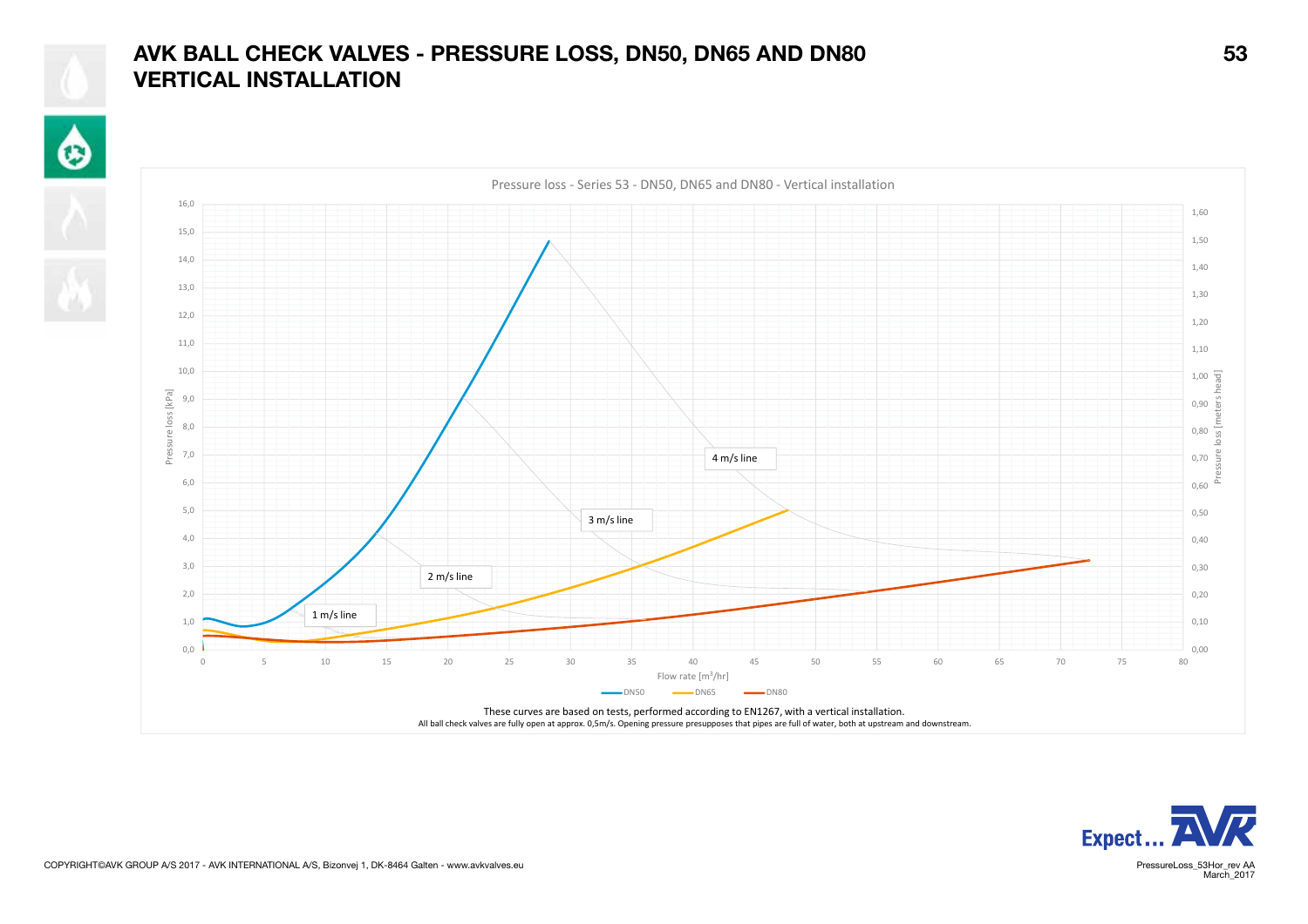## AVK BALL CHECK VALVES - PRESSURE LOSS, DN50, DN65 AND DN80 53 VERTICAL INSTALLATION

 $\hat{\mathbf{\Theta}}$ 







March<sub>2017</sub>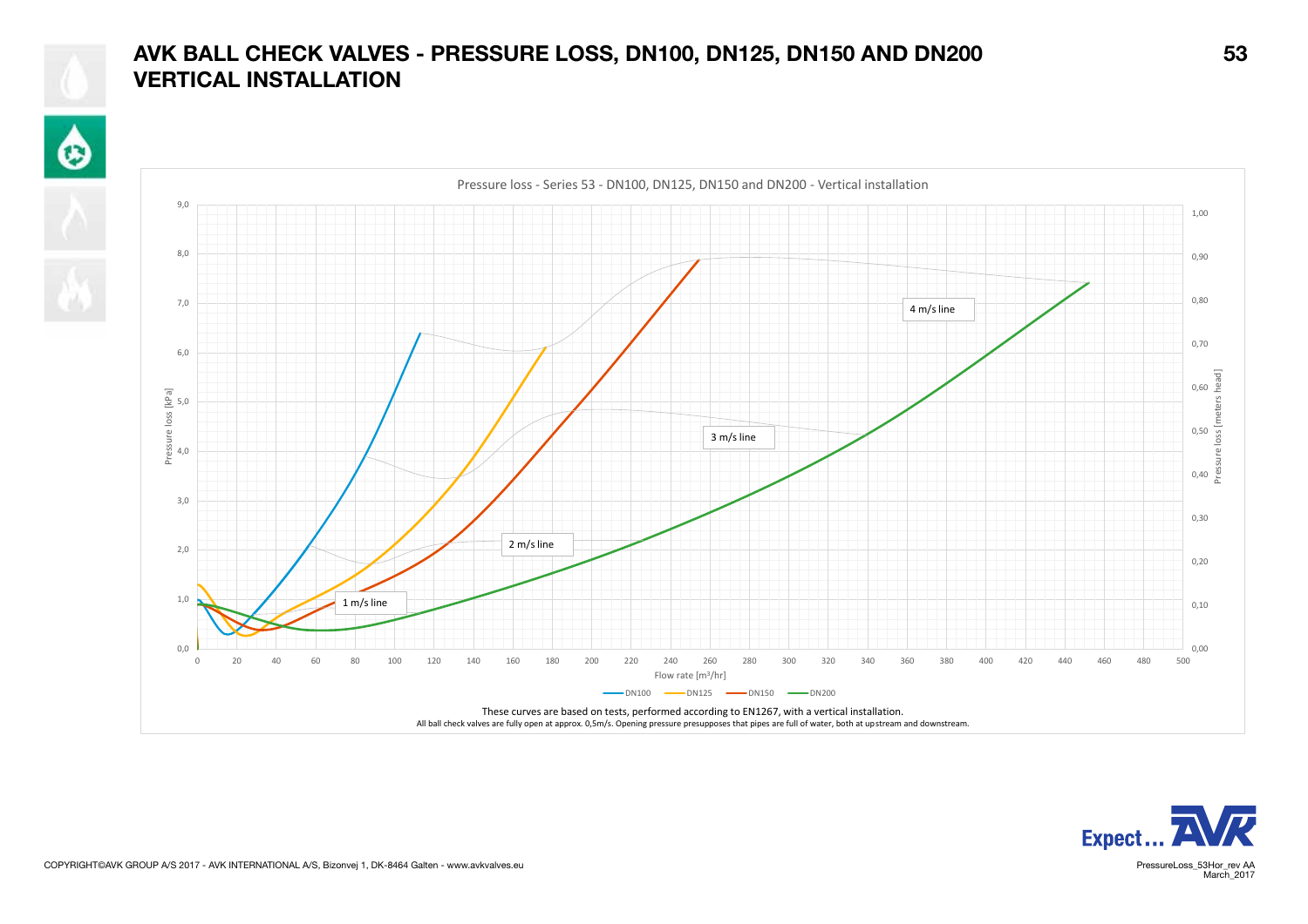## AVK BALL CHECK VALVES - PRESSURE LOSS, DN100, DN125, DN150 AND DN200 53 VERTICAL INSTALLATION

 $\hat{\mathbf{\Theta}}$ 







March<sub>2017</sub>